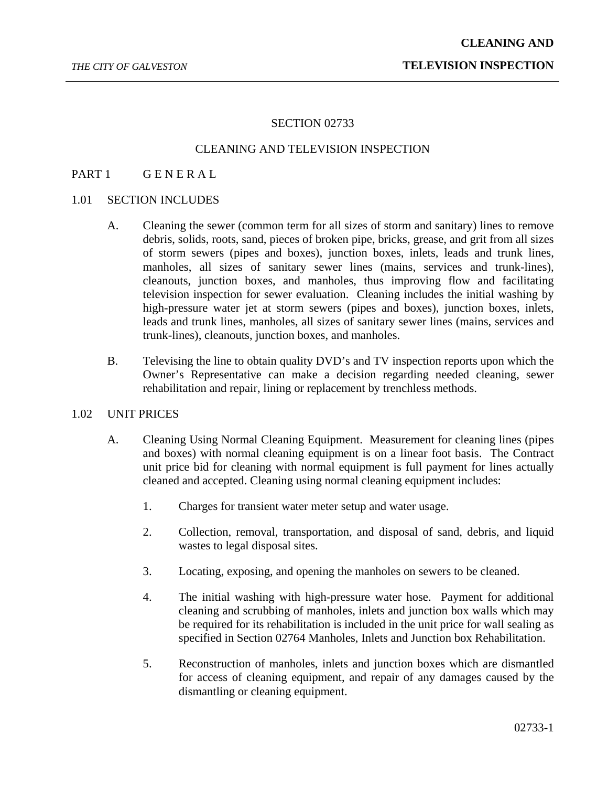#### SECTION 02733

#### CLEANING AND TELEVISION INSPECTION

#### PART 1 GENERAL

#### 1.01 SECTION INCLUDES

- A. Cleaning the sewer (common term for all sizes of storm and sanitary) lines to remove debris, solids, roots, sand, pieces of broken pipe, bricks, grease, and grit from all sizes of storm sewers (pipes and boxes), junction boxes, inlets, leads and trunk lines, manholes, all sizes of sanitary sewer lines (mains, services and trunk-lines), cleanouts, junction boxes, and manholes, thus improving flow and facilitating television inspection for sewer evaluation. Cleaning includes the initial washing by high-pressure water jet at storm sewers (pipes and boxes), junction boxes, inlets, leads and trunk lines, manholes, all sizes of sanitary sewer lines (mains, services and trunk-lines), cleanouts, junction boxes, and manholes.
- B. Televising the line to obtain quality DVD's and TV inspection reports upon which the Owner's Representative can make a decision regarding needed cleaning, sewer rehabilitation and repair, lining or replacement by trenchless methods.

#### 1.02 UNIT PRICES

- A. Cleaning Using Normal Cleaning Equipment. Measurement for cleaning lines (pipes and boxes) with normal cleaning equipment is on a linear foot basis. The Contract unit price bid for cleaning with normal equipment is full payment for lines actually cleaned and accepted. Cleaning using normal cleaning equipment includes:
	- 1. Charges for transient water meter setup and water usage.
	- 2. Collection, removal, transportation, and disposal of sand, debris, and liquid wastes to legal disposal sites.
	- 3. Locating, exposing, and opening the manholes on sewers to be cleaned.
	- 4. The initial washing with high-pressure water hose. Payment for additional cleaning and scrubbing of manholes, inlets and junction box walls which may be required for its rehabilitation is included in the unit price for wall sealing as specified in Section 02764 Manholes, Inlets and Junction box Rehabilitation.
	- 5. Reconstruction of manholes, inlets and junction boxes which are dismantled for access of cleaning equipment, and repair of any damages caused by the dismantling or cleaning equipment.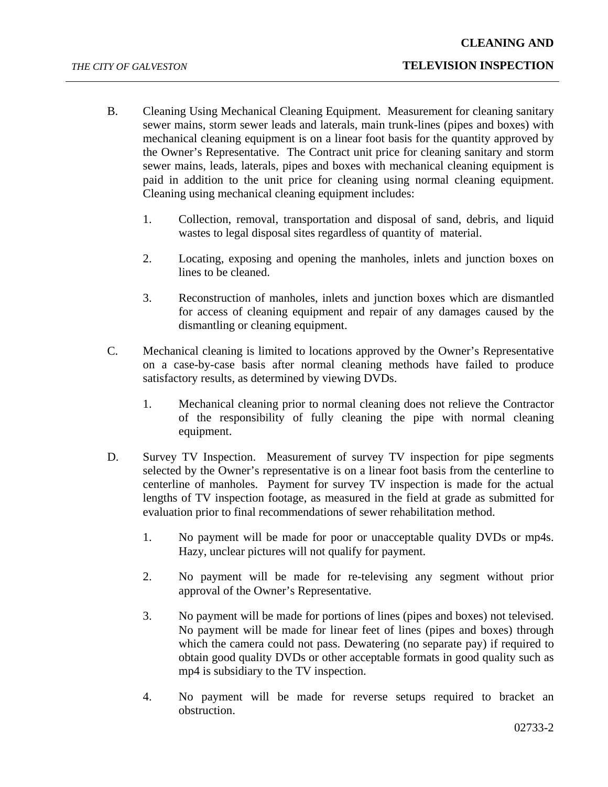- B. Cleaning Using Mechanical Cleaning Equipment. Measurement for cleaning sanitary sewer mains, storm sewer leads and laterals, main trunk-lines (pipes and boxes) with mechanical cleaning equipment is on a linear foot basis for the quantity approved by the Owner's Representative. The Contract unit price for cleaning sanitary and storm sewer mains, leads, laterals, pipes and boxes with mechanical cleaning equipment is paid in addition to the unit price for cleaning using normal cleaning equipment. Cleaning using mechanical cleaning equipment includes:
	- 1. Collection, removal, transportation and disposal of sand, debris, and liquid wastes to legal disposal sites regardless of quantity of material.
	- 2. Locating, exposing and opening the manholes, inlets and junction boxes on lines to be cleaned.
	- 3. Reconstruction of manholes, inlets and junction boxes which are dismantled for access of cleaning equipment and repair of any damages caused by the dismantling or cleaning equipment.
- C. Mechanical cleaning is limited to locations approved by the Owner's Representative on a case-by-case basis after normal cleaning methods have failed to produce satisfactory results, as determined by viewing DVDs.
	- 1. Mechanical cleaning prior to normal cleaning does not relieve the Contractor of the responsibility of fully cleaning the pipe with normal cleaning equipment.
- D. Survey TV Inspection. Measurement of survey TV inspection for pipe segments selected by the Owner's representative is on a linear foot basis from the centerline to centerline of manholes. Payment for survey TV inspection is made for the actual lengths of TV inspection footage, as measured in the field at grade as submitted for evaluation prior to final recommendations of sewer rehabilitation method.
	- 1. No payment will be made for poor or unacceptable quality DVDs or mp4s. Hazy, unclear pictures will not qualify for payment.
	- 2. No payment will be made for re-televising any segment without prior approval of the Owner's Representative.
	- 3. No payment will be made for portions of lines (pipes and boxes) not televised. No payment will be made for linear feet of lines (pipes and boxes) through which the camera could not pass. Dewatering (no separate pay) if required to obtain good quality DVDs or other acceptable formats in good quality such as mp4 is subsidiary to the TV inspection.
	- 4. No payment will be made for reverse setups required to bracket an obstruction.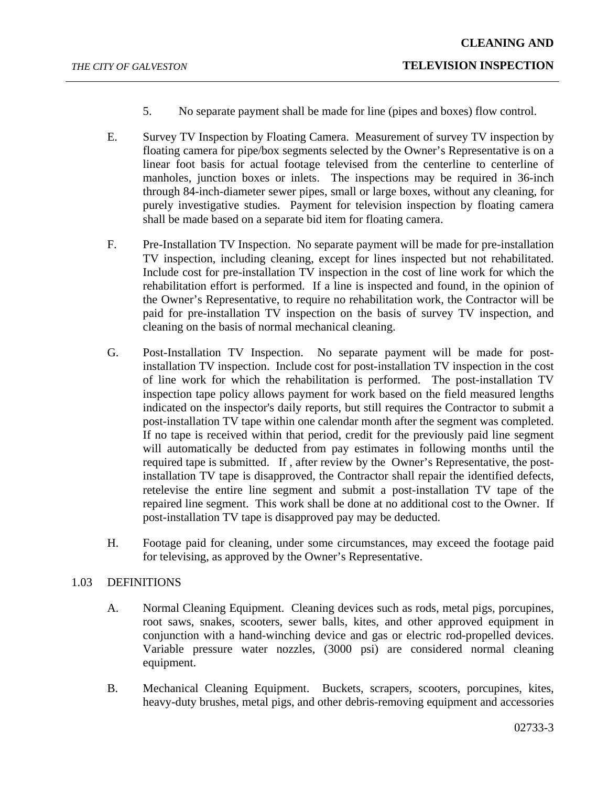- 5. No separate payment shall be made for line (pipes and boxes) flow control.
- E. Survey TV Inspection by Floating Camera. Measurement of survey TV inspection by floating camera for pipe/box segments selected by the Owner's Representative is on a linear foot basis for actual footage televised from the centerline to centerline of manholes, junction boxes or inlets. The inspections may be required in 36-inch through 84-inch-diameter sewer pipes, small or large boxes, without any cleaning, for purely investigative studies. Payment for television inspection by floating camera shall be made based on a separate bid item for floating camera.
- F. Pre-Installation TV Inspection. No separate payment will be made for pre-installation TV inspection, including cleaning, except for lines inspected but not rehabilitated. Include cost for pre-installation TV inspection in the cost of line work for which the rehabilitation effort is performed. If a line is inspected and found, in the opinion of the Owner's Representative, to require no rehabilitation work, the Contractor will be paid for pre-installation TV inspection on the basis of survey TV inspection, and cleaning on the basis of normal mechanical cleaning.
- G. Post-Installation TV Inspection. No separate payment will be made for postinstallation TV inspection. Include cost for post-installation TV inspection in the cost of line work for which the rehabilitation is performed. The post-installation TV inspection tape policy allows payment for work based on the field measured lengths indicated on the inspector's daily reports, but still requires the Contractor to submit a post-installation TV tape within one calendar month after the segment was completed. If no tape is received within that period, credit for the previously paid line segment will automatically be deducted from pay estimates in following months until the required tape is submitted. If , after review by the Owner's Representative, the postinstallation TV tape is disapproved, the Contractor shall repair the identified defects, retelevise the entire line segment and submit a post-installation TV tape of the repaired line segment. This work shall be done at no additional cost to the Owner. If post-installation TV tape is disapproved pay may be deducted.
- H. Footage paid for cleaning, under some circumstances, may exceed the footage paid for televising, as approved by the Owner's Representative.

#### 1.03 DEFINITIONS

- A. Normal Cleaning Equipment. Cleaning devices such as rods, metal pigs, porcupines, root saws, snakes, scooters, sewer balls, kites, and other approved equipment in conjunction with a hand-winching device and gas or electric rod-propelled devices. Variable pressure water nozzles, (3000 psi) are considered normal cleaning equipment.
- B. Mechanical Cleaning Equipment. Buckets, scrapers, scooters, porcupines, kites, heavy-duty brushes, metal pigs, and other debris-removing equipment and accessories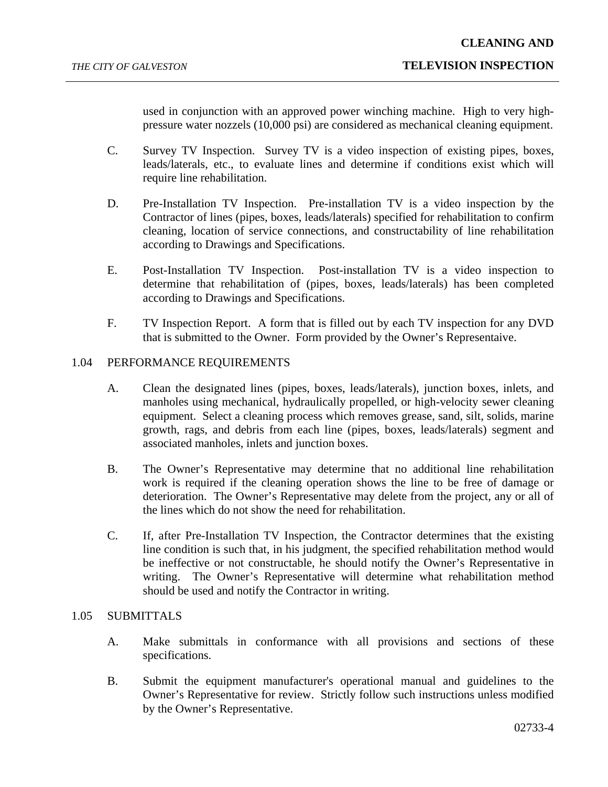used in conjunction with an approved power winching machine. High to very highpressure water nozzels (10,000 psi) are considered as mechanical cleaning equipment.

- C. Survey TV Inspection. Survey TV is a video inspection of existing pipes, boxes, leads/laterals, etc., to evaluate lines and determine if conditions exist which will require line rehabilitation.
- D. Pre-Installation TV Inspection. Pre-installation TV is a video inspection by the Contractor of lines (pipes, boxes, leads/laterals) specified for rehabilitation to confirm cleaning, location of service connections, and constructability of line rehabilitation according to Drawings and Specifications.
- E. Post-Installation TV Inspection. Post-installation TV is a video inspection to determine that rehabilitation of (pipes, boxes, leads/laterals) has been completed according to Drawings and Specifications.
- F. TV Inspection Report. A form that is filled out by each TV inspection for any DVD that is submitted to the Owner. Form provided by the Owner's Representaive.

#### 1.04 PERFORMANCE REQUIREMENTS

- A. Clean the designated lines (pipes, boxes, leads/laterals), junction boxes, inlets, and manholes using mechanical, hydraulically propelled, or high-velocity sewer cleaning equipment. Select a cleaning process which removes grease, sand, silt, solids, marine growth, rags, and debris from each line (pipes, boxes, leads/laterals) segment and associated manholes, inlets and junction boxes.
- B. The Owner's Representative may determine that no additional line rehabilitation work is required if the cleaning operation shows the line to be free of damage or deterioration. The Owner's Representative may delete from the project, any or all of the lines which do not show the need for rehabilitation.
- C. If, after Pre-Installation TV Inspection, the Contractor determines that the existing line condition is such that, in his judgment, the specified rehabilitation method would be ineffective or not constructable, he should notify the Owner's Representative in writing. The Owner's Representative will determine what rehabilitation method should be used and notify the Contractor in writing.

#### 1.05 SUBMITTALS

- A. Make submittals in conformance with all provisions and sections of these specifications.
- B. Submit the equipment manufacturer's operational manual and guidelines to the Owner's Representative for review. Strictly follow such instructions unless modified by the Owner's Representative.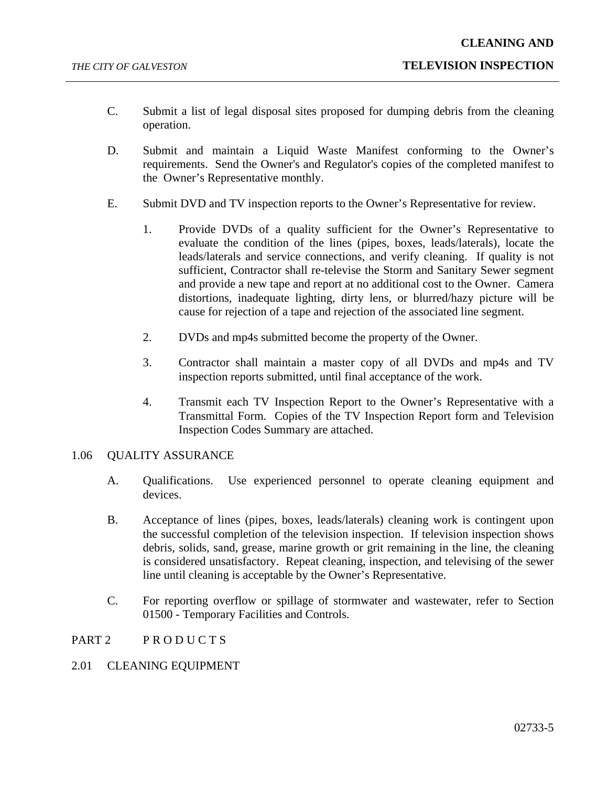- C. Submit a list of legal disposal sites proposed for dumping debris from the cleaning operation.
- D. Submit and maintain a Liquid Waste Manifest conforming to the Owner's requirements. Send the Owner's and Regulator's copies of the completed manifest to the Owner's Representative monthly.
- E. Submit DVD and TV inspection reports to the Owner's Representative for review.
	- 1. Provide DVDs of a quality sufficient for the Owner's Representative to evaluate the condition of the lines (pipes, boxes, leads/laterals), locate the leads/laterals and service connections, and verify cleaning. If quality is not sufficient, Contractor shall re-televise the Storm and Sanitary Sewer segment and provide a new tape and report at no additional cost to the Owner. Camera distortions, inadequate lighting, dirty lens, or blurred/hazy picture will be cause for rejection of a tape and rejection of the associated line segment.
	- 2. DVDs and mp4s submitted become the property of the Owner.
	- 3. Contractor shall maintain a master copy of all DVDs and mp4s and TV inspection reports submitted, until final acceptance of the work.
	- 4. Transmit each TV Inspection Report to the Owner's Representative with a Transmittal Form. Copies of the TV Inspection Report form and Television Inspection Codes Summary are attached.

#### 1.06 QUALITY ASSURANCE

- A. Qualifications. Use experienced personnel to operate cleaning equipment and devices.
- B. Acceptance of lines (pipes, boxes, leads/laterals) cleaning work is contingent upon the successful completion of the television inspection. If television inspection shows debris, solids, sand, grease, marine growth or grit remaining in the line, the cleaning is considered unsatisfactory. Repeat cleaning, inspection, and televising of the sewer line until cleaning is acceptable by the Owner's Representative.
- C. For reporting overflow or spillage of stormwater and wastewater, refer to Section 01500 - Temporary Facilities and Controls.

#### PART 2 PRODUCTS

#### 2.01 CLEANING EQUIPMENT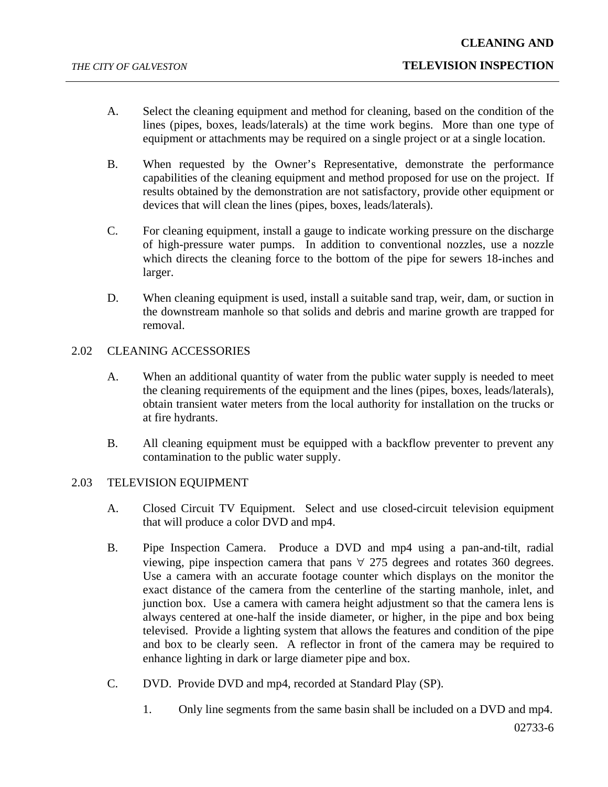- A. Select the cleaning equipment and method for cleaning, based on the condition of the lines (pipes, boxes, leads/laterals) at the time work begins. More than one type of equipment or attachments may be required on a single project or at a single location.
- B. When requested by the Owner's Representative, demonstrate the performance capabilities of the cleaning equipment and method proposed for use on the project. If results obtained by the demonstration are not satisfactory, provide other equipment or devices that will clean the lines (pipes, boxes, leads/laterals).
- C. For cleaning equipment, install a gauge to indicate working pressure on the discharge of high-pressure water pumps. In addition to conventional nozzles, use a nozzle which directs the cleaning force to the bottom of the pipe for sewers 18-inches and larger.
- D. When cleaning equipment is used, install a suitable sand trap, weir, dam, or suction in the downstream manhole so that solids and debris and marine growth are trapped for removal.

### 2.02 CLEANING ACCESSORIES

- A. When an additional quantity of water from the public water supply is needed to meet the cleaning requirements of the equipment and the lines (pipes, boxes, leads/laterals), obtain transient water meters from the local authority for installation on the trucks or at fire hydrants.
- B. All cleaning equipment must be equipped with a backflow preventer to prevent any contamination to the public water supply.

### 2.03 TELEVISION EQUIPMENT

- A. Closed Circuit TV Equipment. Select and use closed-circuit television equipment that will produce a color DVD and mp4.
- B. Pipe Inspection Camera. Produce a DVD and mp4 using a pan-and-tilt, radial viewing, pipe inspection camera that pans ∀ 275 degrees and rotates 360 degrees. Use a camera with an accurate footage counter which displays on the monitor the exact distance of the camera from the centerline of the starting manhole, inlet, and junction box. Use a camera with camera height adjustment so that the camera lens is always centered at one-half the inside diameter, or higher, in the pipe and box being televised. Provide a lighting system that allows the features and condition of the pipe and box to be clearly seen. A reflector in front of the camera may be required to enhance lighting in dark or large diameter pipe and box.
- C. DVD. Provide DVD and mp4, recorded at Standard Play (SP).
	- 1. Only line segments from the same basin shall be included on a DVD and mp4.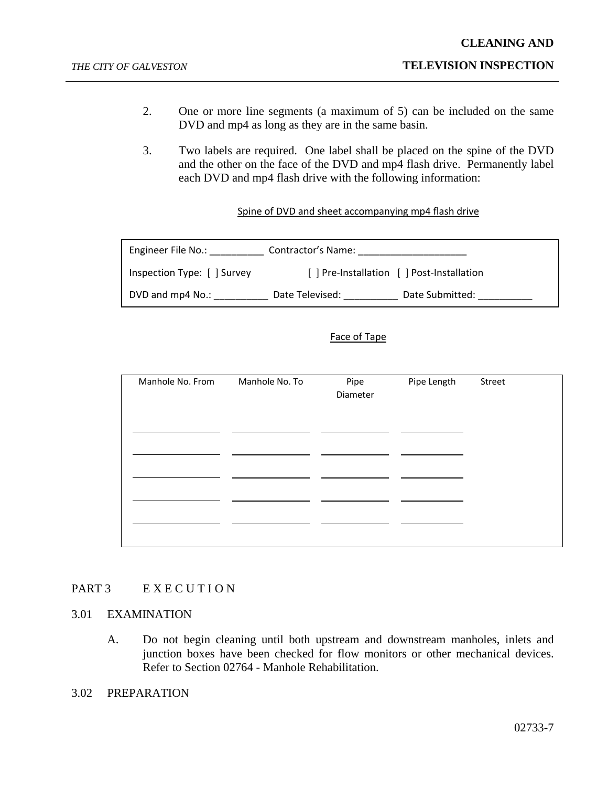- 2. One or more line segments (a maximum of 5) can be included on the same DVD and mp4 as long as they are in the same basin.
- 3. Two labels are required. One label shall be placed on the spine of the DVD and the other on the face of the DVD and mp4 flash drive. Permanently label each DVD and mp4 flash drive with the following information:

#### Spine of DVD and sheet accompanying mp4 flash drive

| Engineer File No.:         | Contractor's Name:                         |
|----------------------------|--------------------------------------------|
| Inspection Type: [] Survey | [ ] Pre-Installation [ ] Post-Installation |
| DVD and mp4 No.:           | Date Televised:<br>Date Submitted:         |

#### Face of Tape

| Manhole No. From | Manhole No. To | Pipe<br>Diameter | Pipe Length | Street |
|------------------|----------------|------------------|-------------|--------|
|                  |                |                  |             |        |
|                  |                |                  |             |        |
|                  |                |                  |             |        |
|                  |                |                  |             |        |

### PART 3 EXECUTION

#### 3.01 EXAMINATION

A. Do not begin cleaning until both upstream and downstream manholes, inlets and junction boxes have been checked for flow monitors or other mechanical devices. Refer to Section 02764 - Manhole Rehabilitation.

#### 3.02 PREPARATION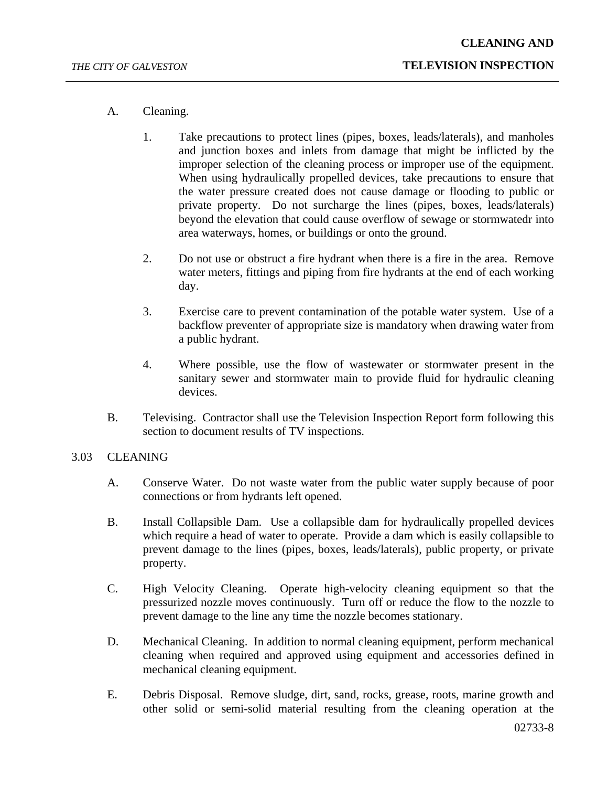- A. Cleaning.
	- 1. Take precautions to protect lines (pipes, boxes, leads/laterals), and manholes and junction boxes and inlets from damage that might be inflicted by the improper selection of the cleaning process or improper use of the equipment. When using hydraulically propelled devices, take precautions to ensure that the water pressure created does not cause damage or flooding to public or private property. Do not surcharge the lines (pipes, boxes, leads/laterals) beyond the elevation that could cause overflow of sewage or stormwatedr into area waterways, homes, or buildings or onto the ground.
	- 2. Do not use or obstruct a fire hydrant when there is a fire in the area. Remove water meters, fittings and piping from fire hydrants at the end of each working day.
	- 3. Exercise care to prevent contamination of the potable water system. Use of a backflow preventer of appropriate size is mandatory when drawing water from a public hydrant.
	- 4. Where possible, use the flow of wastewater or stormwater present in the sanitary sewer and stormwater main to provide fluid for hydraulic cleaning devices.
- B. Televising. Contractor shall use the Television Inspection Report form following this section to document results of TV inspections.

#### 3.03 CLEANING

- A. Conserve Water. Do not waste water from the public water supply because of poor connections or from hydrants left opened.
- B. Install Collapsible Dam. Use a collapsible dam for hydraulically propelled devices which require a head of water to operate. Provide a dam which is easily collapsible to prevent damage to the lines (pipes, boxes, leads/laterals), public property, or private property.
- C. High Velocity Cleaning. Operate high-velocity cleaning equipment so that the pressurized nozzle moves continuously. Turn off or reduce the flow to the nozzle to prevent damage to the line any time the nozzle becomes stationary.
- D. Mechanical Cleaning. In addition to normal cleaning equipment, perform mechanical cleaning when required and approved using equipment and accessories defined in mechanical cleaning equipment.
- E. Debris Disposal. Remove sludge, dirt, sand, rocks, grease, roots, marine growth and other solid or semi-solid material resulting from the cleaning operation at the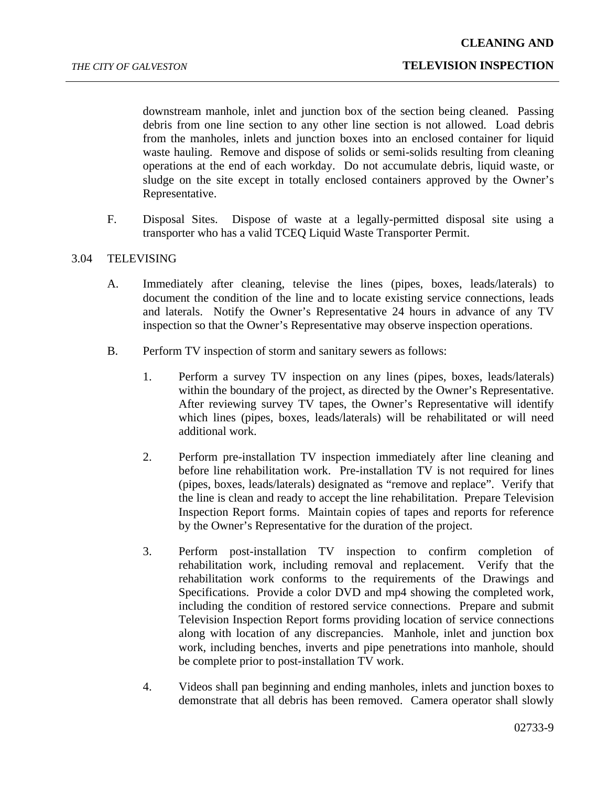downstream manhole, inlet and junction box of the section being cleaned. Passing debris from one line section to any other line section is not allowed. Load debris from the manholes, inlets and junction boxes into an enclosed container for liquid waste hauling. Remove and dispose of solids or semi-solids resulting from cleaning operations at the end of each workday. Do not accumulate debris, liquid waste, or sludge on the site except in totally enclosed containers approved by the Owner's Representative.

F. Disposal Sites. Dispose of waste at a legally-permitted disposal site using a transporter who has a valid TCEQ Liquid Waste Transporter Permit.

#### 3.04 TELEVISING

- A. Immediately after cleaning, televise the lines (pipes, boxes, leads/laterals) to document the condition of the line and to locate existing service connections, leads and laterals. Notify the Owner's Representative 24 hours in advance of any TV inspection so that the Owner's Representative may observe inspection operations.
- B. Perform TV inspection of storm and sanitary sewers as follows:
	- 1. Perform a survey TV inspection on any lines (pipes, boxes, leads/laterals) within the boundary of the project, as directed by the Owner's Representative. After reviewing survey TV tapes, the Owner's Representative will identify which lines (pipes, boxes, leads/laterals) will be rehabilitated or will need additional work.
	- 2. Perform pre-installation TV inspection immediately after line cleaning and before line rehabilitation work. Pre-installation TV is not required for lines (pipes, boxes, leads/laterals) designated as "remove and replace". Verify that the line is clean and ready to accept the line rehabilitation. Prepare Television Inspection Report forms. Maintain copies of tapes and reports for reference by the Owner's Representative for the duration of the project.
	- 3. Perform post-installation TV inspection to confirm completion of rehabilitation work, including removal and replacement. Verify that the rehabilitation work conforms to the requirements of the Drawings and Specifications. Provide a color DVD and mp4 showing the completed work, including the condition of restored service connections. Prepare and submit Television Inspection Report forms providing location of service connections along with location of any discrepancies. Manhole, inlet and junction box work, including benches, inverts and pipe penetrations into manhole, should be complete prior to post-installation TV work.
	- 4. Videos shall pan beginning and ending manholes, inlets and junction boxes to demonstrate that all debris has been removed. Camera operator shall slowly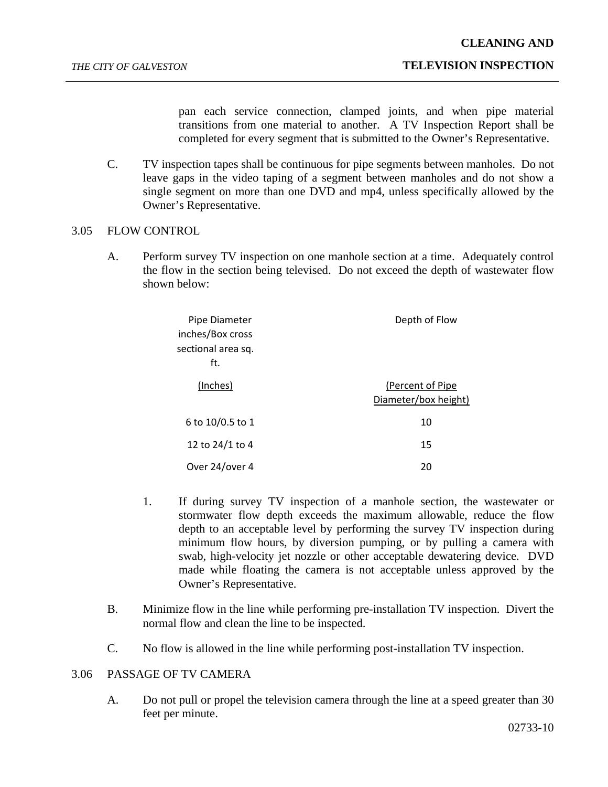pan each service connection, clamped joints, and when pipe material transitions from one material to another. A TV Inspection Report shall be completed for every segment that is submitted to the Owner's Representative.

C. TV inspection tapes shall be continuous for pipe segments between manholes. Do not leave gaps in the video taping of a segment between manholes and do not show a single segment on more than one DVD and mp4, unless specifically allowed by the Owner's Representative.

#### 3.05 FLOW CONTROL

A. Perform survey TV inspection on one manhole section at a time. Adequately control the flow in the section being televised. Do not exceed the depth of wastewater flow shown below:

| Pipe Diameter<br>inches/Box cross<br>sectional area sq.<br>ft. | Depth of Flow                            |
|----------------------------------------------------------------|------------------------------------------|
| (Inches)                                                       | (Percent of Pipe<br>Diameter/box height) |
| 6 to 10/0.5 to 1                                               | 10                                       |
| 12 to 24/1 to 4                                                | 15                                       |
| Over 24/over 4                                                 | 20                                       |

- 1. If during survey TV inspection of a manhole section, the wastewater or stormwater flow depth exceeds the maximum allowable, reduce the flow depth to an acceptable level by performing the survey TV inspection during minimum flow hours, by diversion pumping, or by pulling a camera with swab, high-velocity jet nozzle or other acceptable dewatering device. DVD made while floating the camera is not acceptable unless approved by the Owner's Representative.
- B. Minimize flow in the line while performing pre-installation TV inspection. Divert the normal flow and clean the line to be inspected.
- C. No flow is allowed in the line while performing post-installation TV inspection.

#### 3.06 PASSAGE OF TV CAMERA

A. Do not pull or propel the television camera through the line at a speed greater than 30 feet per minute.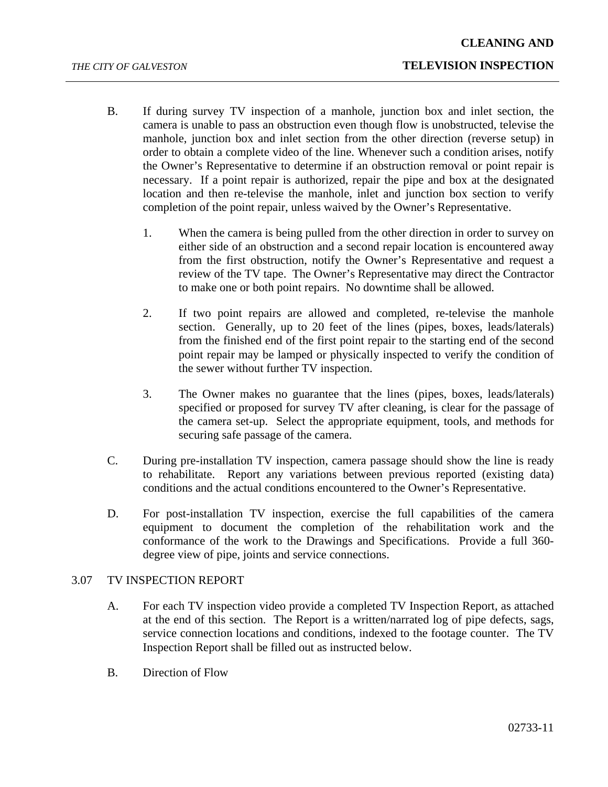- B. If during survey TV inspection of a manhole, junction box and inlet section, the camera is unable to pass an obstruction even though flow is unobstructed, televise the manhole, junction box and inlet section from the other direction (reverse setup) in order to obtain a complete video of the line. Whenever such a condition arises, notify the Owner's Representative to determine if an obstruction removal or point repair is necessary. If a point repair is authorized, repair the pipe and box at the designated location and then re-televise the manhole, inlet and junction box section to verify completion of the point repair, unless waived by the Owner's Representative.
	- 1. When the camera is being pulled from the other direction in order to survey on either side of an obstruction and a second repair location is encountered away from the first obstruction, notify the Owner's Representative and request a review of the TV tape. The Owner's Representative may direct the Contractor to make one or both point repairs. No downtime shall be allowed.
	- 2. If two point repairs are allowed and completed, re-televise the manhole section. Generally, up to 20 feet of the lines (pipes, boxes, leads/laterals) from the finished end of the first point repair to the starting end of the second point repair may be lamped or physically inspected to verify the condition of the sewer without further TV inspection.
	- 3. The Owner makes no guarantee that the lines (pipes, boxes, leads/laterals) specified or proposed for survey TV after cleaning, is clear for the passage of the camera set-up. Select the appropriate equipment, tools, and methods for securing safe passage of the camera.
- C. During pre-installation TV inspection, camera passage should show the line is ready to rehabilitate. Report any variations between previous reported (existing data) conditions and the actual conditions encountered to the Owner's Representative.
- D. For post-installation TV inspection, exercise the full capabilities of the camera equipment to document the completion of the rehabilitation work and the conformance of the work to the Drawings and Specifications. Provide a full 360 degree view of pipe, joints and service connections.

### 3.07 TV INSPECTION REPORT

- A. For each TV inspection video provide a completed TV Inspection Report, as attached at the end of this section. The Report is a written/narrated log of pipe defects, sags, service connection locations and conditions, indexed to the footage counter. The TV Inspection Report shall be filled out as instructed below.
- B. Direction of Flow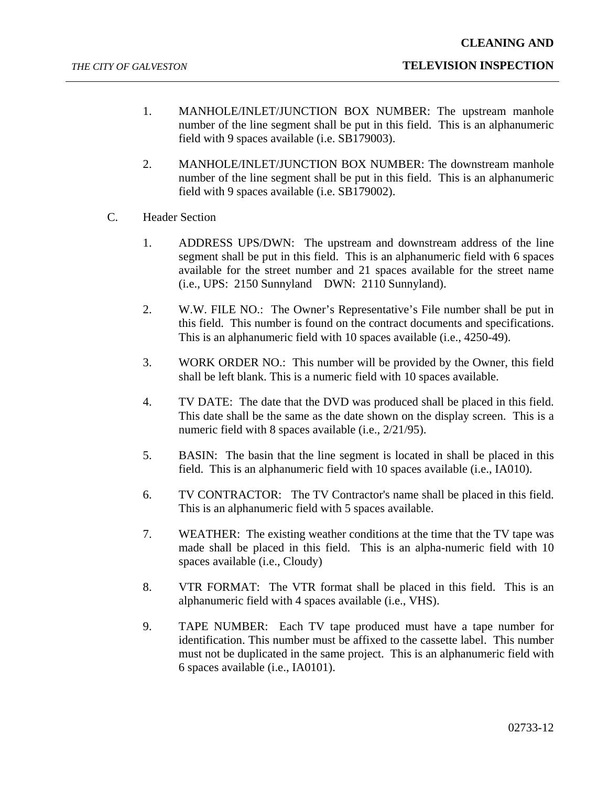- 1. MANHOLE/INLET/JUNCTION BOX NUMBER: The upstream manhole number of the line segment shall be put in this field. This is an alphanumeric field with 9 spaces available (i.e. SB179003).
- 2. MANHOLE/INLET/JUNCTION BOX NUMBER: The downstream manhole number of the line segment shall be put in this field. This is an alphanumeric field with 9 spaces available (i.e. SB179002).
- C. Header Section
	- 1. ADDRESS UPS/DWN: The upstream and downstream address of the line segment shall be put in this field. This is an alphanumeric field with 6 spaces available for the street number and 21 spaces available for the street name (i.e., UPS: 2150 Sunnyland DWN: 2110 Sunnyland).
	- 2. W.W. FILE NO.: The Owner's Representative's File number shall be put in this field. This number is found on the contract documents and specifications. This is an alphanumeric field with 10 spaces available (i.e., 4250-49).
	- 3. WORK ORDER NO.: This number will be provided by the Owner, this field shall be left blank. This is a numeric field with 10 spaces available.
	- 4. TV DATE: The date that the DVD was produced shall be placed in this field. This date shall be the same as the date shown on the display screen. This is a numeric field with 8 spaces available (i.e., 2/21/95).
	- 5. BASIN: The basin that the line segment is located in shall be placed in this field. This is an alphanumeric field with 10 spaces available (i.e., IA010).
	- 6. TV CONTRACTOR: The TV Contractor's name shall be placed in this field. This is an alphanumeric field with 5 spaces available.
	- 7. WEATHER: The existing weather conditions at the time that the TV tape was made shall be placed in this field. This is an alpha-numeric field with 10 spaces available (i.e., Cloudy)
	- 8. VTR FORMAT: The VTR format shall be placed in this field. This is an alphanumeric field with 4 spaces available (i.e., VHS).
	- 9. TAPE NUMBER: Each TV tape produced must have a tape number for identification. This number must be affixed to the cassette label. This number must not be duplicated in the same project. This is an alphanumeric field with 6 spaces available (i.e., IA0101).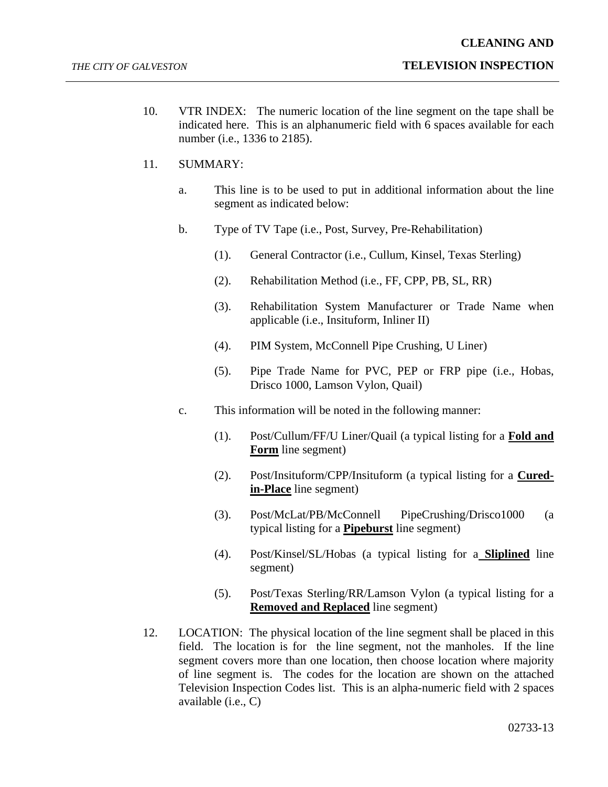10. VTR INDEX: The numeric location of the line segment on the tape shall be indicated here. This is an alphanumeric field with 6 spaces available for each number (i.e., 1336 to 2185).

#### 11. SUMMARY:

- a. This line is to be used to put in additional information about the line segment as indicated below:
- b. Type of TV Tape (i.e., Post, Survey, Pre-Rehabilitation)
	- (1). General Contractor (i.e., Cullum, Kinsel, Texas Sterling)
	- (2). Rehabilitation Method (i.e., FF, CPP, PB, SL, RR)
	- (3). Rehabilitation System Manufacturer or Trade Name when applicable (i.e., Insituform, Inliner II)
	- (4). PIM System, McConnell Pipe Crushing, U Liner)
	- (5). Pipe Trade Name for PVC, PEP or FRP pipe (i.e., Hobas, Drisco 1000, Lamson Vylon, Quail)
- c. This information will be noted in the following manner:
	- (1). Post/Cullum/FF/U Liner/Quail (a typical listing for a **Fold and Form** line segment)
	- (2). Post/Insituform/CPP/Insituform (a typical listing for a **Curedin-Place** line segment)
	- (3). Post/McLat/PB/McConnell PipeCrushing/Drisco1000 (a typical listing for a **Pipeburst** line segment)
	- (4). Post/Kinsel/SL/Hobas (a typical listing for a **Sliplined** line segment)
	- (5). Post/Texas Sterling/RR/Lamson Vylon (a typical listing for a **Removed and Replaced** line segment)
- 12. LOCATION: The physical location of the line segment shall be placed in this field. The location is for the line segment, not the manholes. If the line segment covers more than one location, then choose location where majority of line segment is. The codes for the location are shown on the attached Television Inspection Codes list. This is an alpha-numeric field with 2 spaces available (i.e., C)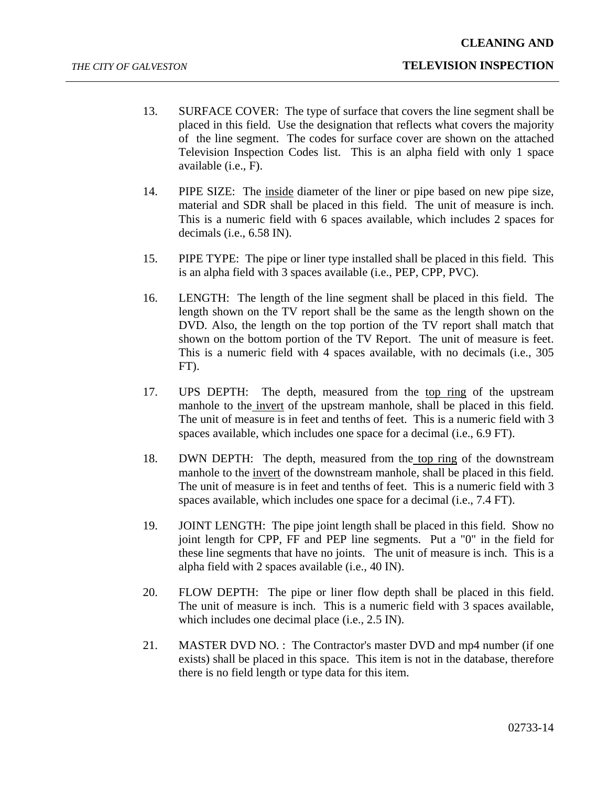- 13. SURFACE COVER: The type of surface that covers the line segment shall be placed in this field. Use the designation that reflects what covers the majority of the line segment. The codes for surface cover are shown on the attached Television Inspection Codes list. This is an alpha field with only 1 space available (i.e., F).
- 14. PIPE SIZE: The inside diameter of the liner or pipe based on new pipe size, material and SDR shall be placed in this field. The unit of measure is inch. This is a numeric field with 6 spaces available, which includes 2 spaces for decimals (i.e., 6.58 IN).
- 15. PIPE TYPE: The pipe or liner type installed shall be placed in this field. This is an alpha field with 3 spaces available (i.e., PEP, CPP, PVC).
- 16. LENGTH: The length of the line segment shall be placed in this field. The length shown on the TV report shall be the same as the length shown on the DVD. Also, the length on the top portion of the TV report shall match that shown on the bottom portion of the TV Report. The unit of measure is feet. This is a numeric field with 4 spaces available, with no decimals (i.e., 305 FT).
- 17. UPS DEPTH: The depth, measured from the top ring of the upstream manhole to the invert of the upstream manhole, shall be placed in this field. The unit of measure is in feet and tenths of feet. This is a numeric field with 3 spaces available, which includes one space for a decimal (i.e., 6.9 FT).
- 18. DWN DEPTH: The depth, measured from the top ring of the downstream manhole to the invert of the downstream manhole, shall be placed in this field. The unit of measure is in feet and tenths of feet. This is a numeric field with 3 spaces available, which includes one space for a decimal (i.e., 7.4 FT).
- 19. JOINT LENGTH: The pipe joint length shall be placed in this field. Show no joint length for CPP, FF and PEP line segments. Put a "0" in the field for these line segments that have no joints. The unit of measure is inch. This is a alpha field with 2 spaces available (i.e., 40 IN).
- 20. FLOW DEPTH: The pipe or liner flow depth shall be placed in this field. The unit of measure is inch. This is a numeric field with 3 spaces available, which includes one decimal place (i.e., 2.5 IN).
- 21. MASTER DVD NO. : The Contractor's master DVD and mp4 number (if one exists) shall be placed in this space. This item is not in the database, therefore there is no field length or type data for this item.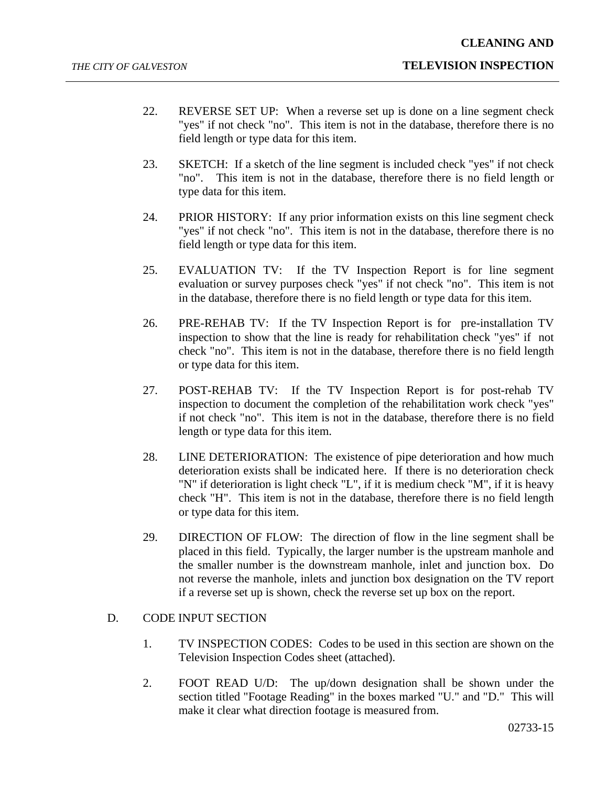- 22. REVERSE SET UP: When a reverse set up is done on a line segment check "yes" if not check "no". This item is not in the database, therefore there is no field length or type data for this item.
- 23. SKETCH: If a sketch of the line segment is included check "yes" if not check "no". This item is not in the database, therefore there is no field length or type data for this item.
- 24. PRIOR HISTORY: If any prior information exists on this line segment check "yes" if not check "no". This item is not in the database, therefore there is no field length or type data for this item.
- 25. EVALUATION TV: If the TV Inspection Report is for line segment evaluation or survey purposes check "yes" if not check "no". This item is not in the database, therefore there is no field length or type data for this item.
- 26. PRE-REHAB TV: If the TV Inspection Report is for pre-installation TV inspection to show that the line is ready for rehabilitation check "yes" if not check "no". This item is not in the database, therefore there is no field length or type data for this item.
- 27. POST-REHAB TV: If the TV Inspection Report is for post-rehab TV inspection to document the completion of the rehabilitation work check "yes" if not check "no". This item is not in the database, therefore there is no field length or type data for this item.
- 28. LINE DETERIORATION: The existence of pipe deterioration and how much deterioration exists shall be indicated here. If there is no deterioration check "N" if deterioration is light check "L", if it is medium check "M", if it is heavy check "H". This item is not in the database, therefore there is no field length or type data for this item.
- 29. DIRECTION OF FLOW: The direction of flow in the line segment shall be placed in this field. Typically, the larger number is the upstream manhole and the smaller number is the downstream manhole, inlet and junction box. Do not reverse the manhole, inlets and junction box designation on the TV report if a reverse set up is shown, check the reverse set up box on the report.

### D. CODE INPUT SECTION

- 1. TV INSPECTION CODES: Codes to be used in this section are shown on the Television Inspection Codes sheet (attached).
- 2. FOOT READ U/D: The up/down designation shall be shown under the section titled "Footage Reading" in the boxes marked "U." and "D." This will make it clear what direction footage is measured from.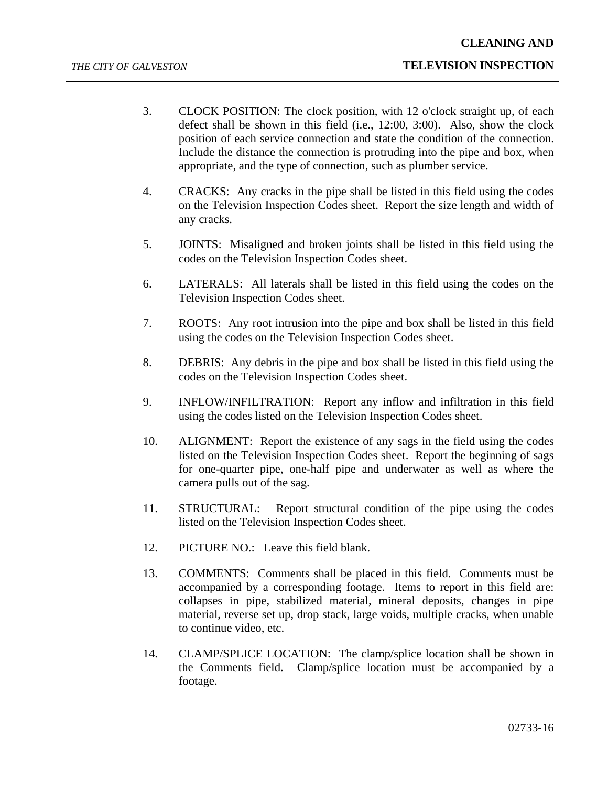- 3. CLOCK POSITION: The clock position, with 12 o'clock straight up, of each defect shall be shown in this field (i.e., 12:00, 3:00). Also, show the clock position of each service connection and state the condition of the connection. Include the distance the connection is protruding into the pipe and box, when appropriate, and the type of connection, such as plumber service.
- 4. CRACKS: Any cracks in the pipe shall be listed in this field using the codes on the Television Inspection Codes sheet. Report the size length and width of any cracks.
- 5. JOINTS: Misaligned and broken joints shall be listed in this field using the codes on the Television Inspection Codes sheet.
- 6. LATERALS: All laterals shall be listed in this field using the codes on the Television Inspection Codes sheet.
- 7. ROOTS: Any root intrusion into the pipe and box shall be listed in this field using the codes on the Television Inspection Codes sheet.
- 8. DEBRIS: Any debris in the pipe and box shall be listed in this field using the codes on the Television Inspection Codes sheet.
- 9. INFLOW/INFILTRATION: Report any inflow and infiltration in this field using the codes listed on the Television Inspection Codes sheet.
- 10. ALIGNMENT: Report the existence of any sags in the field using the codes listed on the Television Inspection Codes sheet. Report the beginning of sags for one-quarter pipe, one-half pipe and underwater as well as where the camera pulls out of the sag.
- 11. STRUCTURAL: Report structural condition of the pipe using the codes listed on the Television Inspection Codes sheet.
- 12. PICTURE NO.: Leave this field blank.
- 13. COMMENTS: Comments shall be placed in this field. Comments must be accompanied by a corresponding footage. Items to report in this field are: collapses in pipe, stabilized material, mineral deposits, changes in pipe material, reverse set up, drop stack, large voids, multiple cracks, when unable to continue video, etc.
- 14. CLAMP/SPLICE LOCATION: The clamp/splice location shall be shown in the Comments field. Clamp/splice location must be accompanied by a footage.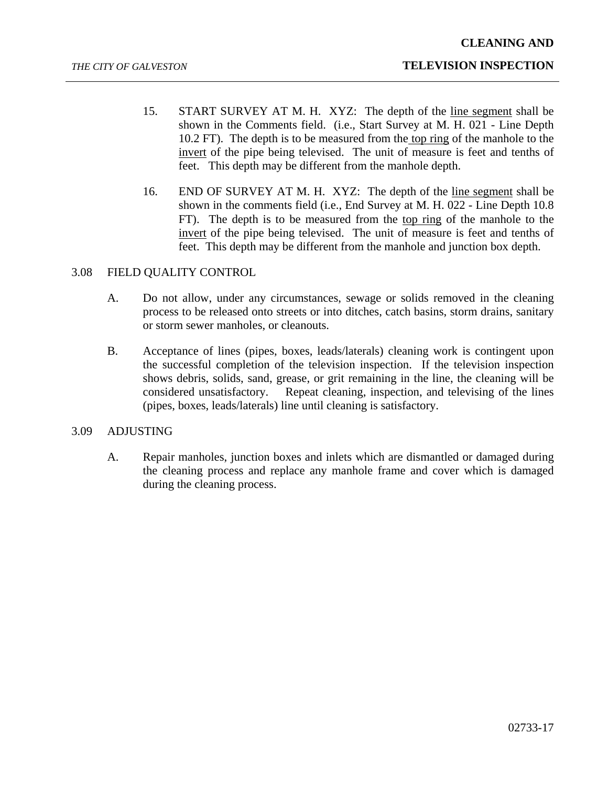- 15. START SURVEY AT M. H. XYZ: The depth of the line segment shall be shown in the Comments field. (i.e., Start Survey at M. H. 021 - Line Depth 10.2 FT). The depth is to be measured from the top ring of the manhole to the invert of the pipe being televised. The unit of measure is feet and tenths of feet. This depth may be different from the manhole depth.
- 16. END OF SURVEY AT M. H. XYZ: The depth of the line segment shall be shown in the comments field (i.e., End Survey at M. H. 022 - Line Depth 10.8 FT). The depth is to be measured from the top ring of the manhole to the invert of the pipe being televised. The unit of measure is feet and tenths of feet. This depth may be different from the manhole and junction box depth.

#### 3.08 FIELD QUALITY CONTROL

- A. Do not allow, under any circumstances, sewage or solids removed in the cleaning process to be released onto streets or into ditches, catch basins, storm drains, sanitary or storm sewer manholes, or cleanouts.
- B. Acceptance of lines (pipes, boxes, leads/laterals) cleaning work is contingent upon the successful completion of the television inspection. If the television inspection shows debris, solids, sand, grease, or grit remaining in the line, the cleaning will be considered unsatisfactory. Repeat cleaning, inspection, and televising of the lines (pipes, boxes, leads/laterals) line until cleaning is satisfactory.

#### 3.09 ADJUSTING

A. Repair manholes, junction boxes and inlets which are dismantled or damaged during the cleaning process and replace any manhole frame and cover which is damaged during the cleaning process.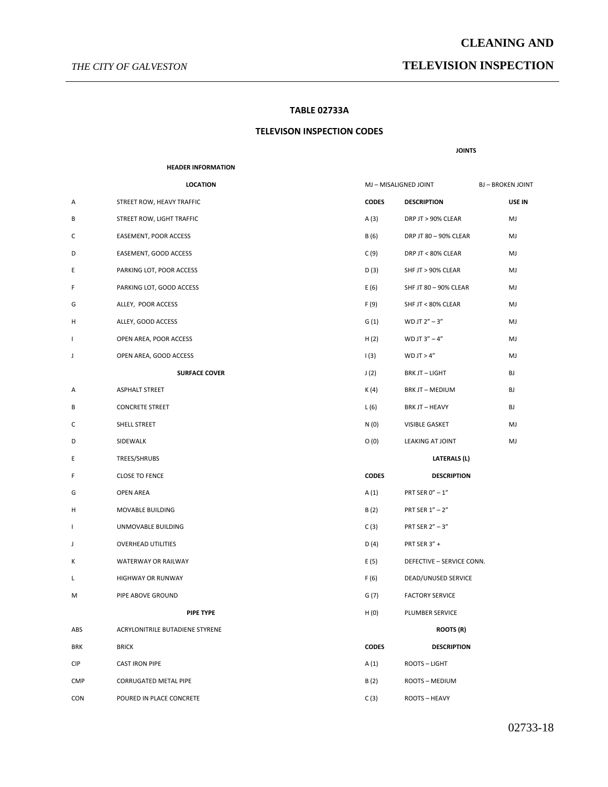# **CLEANING AND** *THE CITY OF GALVESTON* **TELEVISION INSPECTION**

#### **TABLE 02733A**

#### **TELEVISON INSPECTION CODES**

#### **JOINTS**

#### **HEADER INFORMATION**

|            | <b>LOCATION</b>                 | MJ - MISALIGNED JOINT |                           | <b>BJ-BROKEN JOINT</b> |
|------------|---------------------------------|-----------------------|---------------------------|------------------------|
| Α          | STREET ROW, HEAVY TRAFFIC       | <b>CODES</b>          | <b>DESCRIPTION</b>        | USE IN                 |
| В          | STREET ROW, LIGHT TRAFFIC       | A(3)                  | DRP JT > 90% CLEAR        | MJ                     |
| С          | EASEMENT, POOR ACCESS           | B (6)                 | DRP JT 80 - 90% CLEAR     | MJ                     |
| D          | EASEMENT, GOOD ACCESS           | C(9)                  | DRP JT < 80% CLEAR        | MJ                     |
| Ε          | PARKING LOT, POOR ACCESS        | D (3)                 | SHF JT > 90% CLEAR        | MJ                     |
| F          | PARKING LOT, GOOD ACCESS        | E (6)                 | SHF JT 80 - 90% CLEAR     | MJ                     |
| G          | ALLEY, POOR ACCESS              | F (9)                 | SHF JT < 80% CLEAR        | MJ                     |
| н          | ALLEY, GOOD ACCESS              | G(1)                  | $WD JT 2" - 3"$           | MJ                     |
| J.         | OPEN AREA, POOR ACCESS          | H(2)                  | WD JT $3'' - 4''$         | MJ                     |
| J          | OPEN AREA, GOOD ACCESS          | 1(3)                  | WD JT $> 4''$             | MJ                     |
|            | <b>SURFACE COVER</b>            | J(2)                  | BRK JT - LIGHT            | BJ                     |
| Α          | <b>ASPHALT STREET</b>           | K (4)                 | <b>BRK JT - MEDIUM</b>    | BJ                     |
| В          | <b>CONCRETE STREET</b>          | L(6)                  | <b>BRK JT - HEAVY</b>     | BJ                     |
| C          | SHELL STREET                    | N (0)                 | VISIBLE GASKET            | MJ                     |
| D          | SIDEWALK                        | O(0)                  | LEAKING AT JOINT          | MJ                     |
| Ε          | TREES/SHRUBS                    | LATERALS (L)          |                           |                        |
| F          | <b>CLOSE TO FENCE</b>           | <b>CODES</b>          | <b>DESCRIPTION</b>        |                        |
| G          | <b>OPEN AREA</b>                | A(1)                  | PRT SER 0" - 1"           |                        |
| н          | MOVABLE BUILDING                | B(2)                  | PRT SER 1" - 2"           |                        |
| I          | UNMOVABLE BUILDING              | C(3)                  | PRT SER 2" - 3"           |                        |
| J          | <b>OVERHEAD UTILITIES</b>       | D (4)                 | PRT SER 3" +              |                        |
| к          | WATERWAY OR RAILWAY             | E (5)                 | DEFECTIVE - SERVICE CONN. |                        |
| L          | <b>HIGHWAY OR RUNWAY</b>        | F (6)                 | DEAD/UNUSED SERVICE       |                        |
| M          | PIPE ABOVE GROUND               | G (7)                 | <b>FACTORY SERVICE</b>    |                        |
|            | <b>PIPE TYPE</b>                | H(0)                  | PLUMBER SERVICE           |                        |
| ABS        | ACRYLONITRILE BUTADIENE STYRENE |                       | <b>ROOTS (R)</b>          |                        |
| <b>BRK</b> | <b>BRICK</b>                    | <b>CODES</b>          | <b>DESCRIPTION</b>        |                        |
| <b>CIP</b> | <b>CAST IRON PIPE</b>           | A(1)                  | <b>ROOTS-LIGHT</b>        |                        |
| <b>CMP</b> | CORRUGATED METAL PIPE           | B(2)                  | ROOTS - MEDIUM            |                        |
| <b>CON</b> | POURED IN PLACE CONCRETE        | C(3)                  | ROOTS - HEAVY             |                        |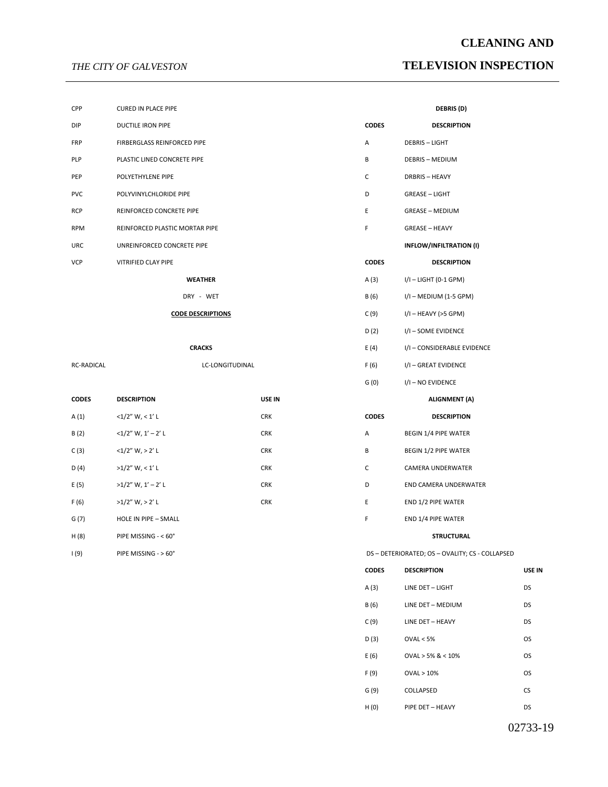## **THE CITY OF GALVESTON T**

| <b>CLEANING AND</b>   |
|-----------------------|
| TELEVISION INSPECTION |

| CPP          | <b>CURED IN PLACE PIPE</b>     |            |              | DEBRIS (D)                                      |
|--------------|--------------------------------|------------|--------------|-------------------------------------------------|
| <b>DIP</b>   | DUCTILE IRON PIPE              |            | <b>CODES</b> | <b>DESCRIPTION</b>                              |
| <b>FRP</b>   | FIRBERGLASS REINFORCED PIPE    |            | А            | <b>DEBRIS-LIGHT</b>                             |
| <b>PLP</b>   | PLASTIC LINED CONCRETE PIPE    |            | B            | <b>DEBRIS - MEDIUM</b>                          |
| PEP          | POLYETHYLENE PIPE              |            | C            | DRBRIS - HEAVY                                  |
| PVC          | POLYVINYLCHLORIDE PIPE         |            | D            | <b>GREASE - LIGHT</b>                           |
| <b>RCP</b>   | REINFORCED CONCRETE PIPE       |            | E            | <b>GREASE - MEDIUM</b>                          |
| <b>RPM</b>   | REINFORCED PLASTIC MORTAR PIPE |            | F            | <b>GREASE - HEAVY</b>                           |
| <b>URC</b>   | UNREINFORCED CONCRETE PIPE     |            |              | <b>INFLOW/INFILTRATION (I)</b>                  |
| <b>VCP</b>   | VITRIFIED CLAY PIPE            |            | <b>CODES</b> | <b>DESCRIPTION</b>                              |
|              | <b>WEATHER</b>                 |            | A(3)         | $I/I - LIGHT (0-1 GPM)$                         |
|              | DRY - WET                      |            | B(6)         | $I/I - MEDIUM (1-5 GPM)$                        |
|              | <b>CODE DESCRIPTIONS</b>       |            | C(9)         | $I/I$ – HEAVY (>5 GPM)                          |
|              |                                |            | D(2)         | I/I-SOME EVIDENCE                               |
|              | <b>CRACKS</b>                  |            | E(4)         | I/I - CONSIDERABLE EVIDENCE                     |
| RC-RADICAL   | LC-LONGITUDINAL                |            | F(6)         | I/I - GREAT EVIDENCE                            |
|              |                                |            | G (0)        | I/I - NO EVIDENCE                               |
| <b>CODES</b> | <b>DESCRIPTION</b>             | USE IN     |              | ALIGNMENT (A)                                   |
| A(1)         | $<1/2"$ W, < 1' L              | <b>CRK</b> | <b>CODES</b> | <b>DESCRIPTION</b>                              |
| B(2)         | $<1/2$ " W, 1' - 2' L          | <b>CRK</b> | Α            | <b>BEGIN 1/4 PIPE WATER</b>                     |
| C(3)         | $<1/2"$ W, > 2' L              | <b>CRK</b> | В            | BEGIN 1/2 PIPE WATER                            |
| D(4)         | $>1/2$ " W, < 1' L             | <b>CRK</b> | C            | CAMERA UNDERWATER                               |
| E(5)         | $>1/2''$ W, $1' - 2'$ L        | <b>CRK</b> | D            | END CAMERA UNDERWATER                           |
| F(6)         | $>1/2''$ W, $> 2'$ L           | <b>CRK</b> | E            | END 1/2 PIPE WATER                              |
| G (7)        | HOLE IN PIPE - SMALL           |            | F.           | END 1/4 PIPE WATER                              |
| H(8)         | PIPE MISSING - < 60°           |            |              | <b>STRUCTURAL</b>                               |
| 1(9)         | PIPE MISSING - > 60°           |            |              | DS - DETERIORATED; OS - OVALITY; CS - COLLAPSED |

|                                                 | <b>INFLOW/INFILTRATION (I)</b>                                                   |        |  |  |
|-------------------------------------------------|----------------------------------------------------------------------------------|--------|--|--|
| <b>CODES</b>                                    | <b>DESCRIPTION</b>                                                               |        |  |  |
| A (3)                                           | $I/I - LIGHT (0-1 GPM)$                                                          |        |  |  |
| B(6)                                            | $I/I - MEDIUM (1-5 GPM)$                                                         |        |  |  |
| C(9)                                            | $I/I - HEAVY$ (>5 GPM)                                                           |        |  |  |
| D(2)                                            | I/I-SOME EVIDENCE                                                                |        |  |  |
| E(4)                                            | I/I - CONSIDERABLE EVIDENCE                                                      |        |  |  |
| F (6)                                           | I/I - GREAT EVIDENCE                                                             |        |  |  |
| G(0)                                            | I/I - NO EVIDENCE                                                                |        |  |  |
|                                                 | <b>ALIGNMENT (A)</b>                                                             |        |  |  |
| <b>CODES</b>                                    | <b>DESCRIPTION</b>                                                               |        |  |  |
| A                                               | <b>BEGIN 1/4 PIPE WATER</b>                                                      |        |  |  |
| B                                               | <b>BEGIN 1/2 PIPE WATER</b>                                                      |        |  |  |
| С                                               | <b>CAMERA UNDERWATER</b>                                                         |        |  |  |
| D                                               | <b>END CAMERA UNDERWATER</b>                                                     |        |  |  |
| E                                               | END 1/2 PIPE WATER                                                               |        |  |  |
| F                                               | END 1/4 PIPE WATER                                                               |        |  |  |
| <b>STRUCTURAL</b>                               |                                                                                  |        |  |  |
| DS - DETERIORATED; OS - OVALITY; CS - COLLAPSED |                                                                                  |        |  |  |
| <b>CODES</b>                                    | <b>DESCRIPTION</b>                                                               | USE IN |  |  |
| $\Delta$ $(2)$                                  | $\overline{1111}$ $\overline{0}$ $\overline{17}$ $\overline{11}$ $\overline{11}$ | nc     |  |  |

| A(3) | LINE DET - LIGHT    | DS  |
|------|---------------------|-----|
| B(6) | LINE DET - MEDIUM   | DS  |
| C(9) | LINE DET - HEAVY    | DS  |
| D(3) | OVAL < 5%           | OS  |
| E(6) | $OVAL$ > 5% & < 10% | OS  |
| F(9) | $OVAL$ > 10%        | OS  |
| G(9) | COLLAPSED           | CS. |
| H(0) | PIPE DET - HEAVY    | DS  |